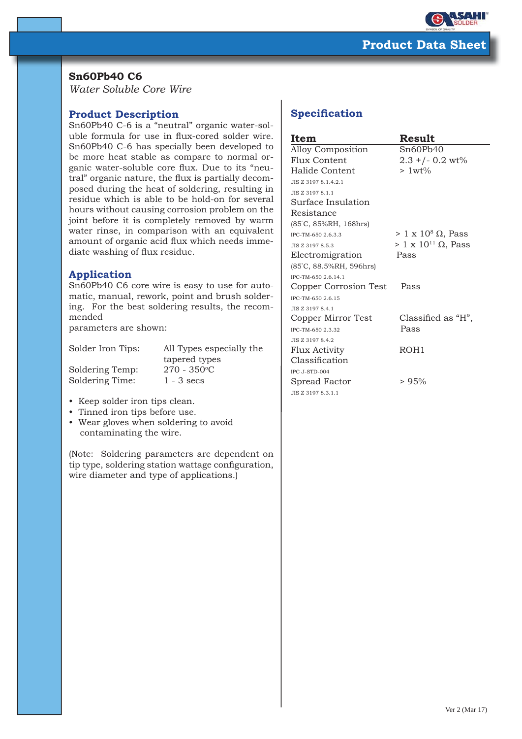

## **Sn60Pb40 C6**

*Water Soluble Core Wire*

## **Product Description**

Sn60Pb40 C-6 is a "neutral" organic water-soluble formula for use in flux-cored solder wire. Sn60Pb40 C-6 has specially been developed to be more heat stable as compare to normal organic water-soluble core flux. Due to its "neutral" organic nature, the flux is partially decomposed during the heat of soldering, resulting in residue which is able to be hold-on for several hours without causing corrosion problem on the joint before it is completely removed by warm water rinse, in comparison with an equivalent amount of organic acid flux which needs immediate washing of flux residue.

## **Application**

Sn60Pb40 C6 core wire is easy to use for automatic, manual, rework, point and brush soldering. For the best soldering results, the recommended

parameters are shown:

| All Types especially the |
|--------------------------|
| tapered types            |
| $270 - 350^{\circ}C$     |
| $1 - 3$ secs             |
|                          |

- Keep solder iron tips clean.
- Tinned iron tips before use.
- Wear gloves when soldering to avoid contaminating the wire.

(Note: Soldering parameters are dependent on tip type, soldering station wattage configuration, wire diameter and type of applications.)

# **Specification**

| Item                     | Result                             |
|--------------------------|------------------------------------|
| <b>Alloy Composition</b> | Sn60Pb40                           |
| Flux Content             | $2.3 + (-0.2 \text{ wt})$          |
| Halide Content           | $>1wt\%$                           |
| JIS Z 3197 8.1.4.2.1     |                                    |
| JIS Z 3197 8.1.1         |                                    |
| Surface Insulation       |                                    |
| Resistance               |                                    |
| (85°C, 85%RH, 168hrs)    |                                    |
| IPC-TM-650 2.6.3.3       | $> 1 \times 10^8 \Omega$ , Pass    |
| JIS Z 3197 8.5.3         | $> 1 \times 10^{11} \Omega$ , Pass |
| Electromigration         | Pass                               |
| (85°C, 88.5%RH, 596hrs)  |                                    |
| IPC-TM-650 2.6.14.1      |                                    |
| Copper Corrosion Test    | Pass                               |
| IPC-TM-650 2.6.15        |                                    |
| JIS Z 3197 8.4.1         |                                    |
| Copper Mirror Test       | Classified as "H",                 |
| IPC-TM-650 2.3.32        | Pass                               |
| JIS Z 3197 8.4.2         |                                    |
| Flux Activity            | ROH <sub>1</sub>                   |
| Classification           |                                    |
| IPC J-STD-004            |                                    |
| Spread Factor            | > 95%                              |
| JIS Z 3197 8.3.1.1       |                                    |